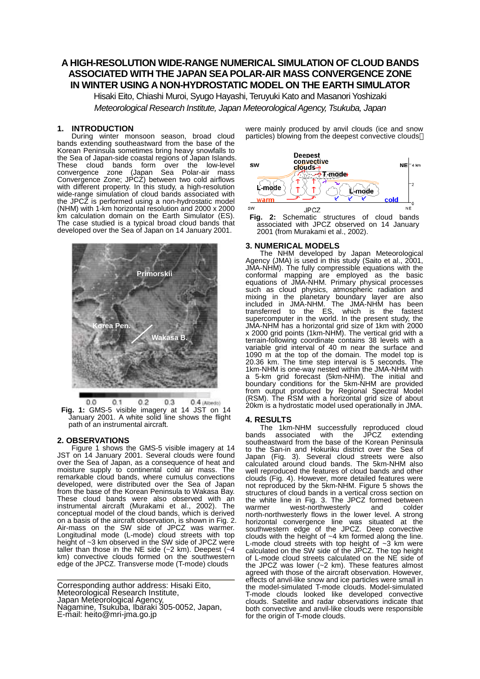# **A HIGH-RESOLUTION WIDE-RANGE NUMERICAL SIMULATION OF CLOUD BANDS ASSOCIATED WITH THE JAPAN SEA POLAR-AIR MASS CONVERGENCE ZONE IN WINTER USING A NON-HYDROSTATIC MODEL ON THE EARTH SIMULATOR**

Hisaki Eito, Chiashi Muroi, Syugo Hayashi, Teruyuki Kato and Masanori Yoshizaki *Meteorological Research Institute, Japan Meteorological Agency, Tsukuba, Japan* 

### **1. INTRODUCTION**

During winter monsoon season, broad cloud bands extending southeastward from the base of the Korean Peninsula sometimes bring heavy snowfalls to the Sea of Japan-side coastal regions of Japan Islands. These cloud bands form over the low-level convergence zone (Japan Sea Polar-air mass Convergence Zone; JPCZ) between two cold airflows with different property. In this study, a high-resolution wide-range simulation of cloud bands associated with the JPCZ is performed using a non-hydrostatic model (NHM) with 1-km horizontal resolution and 2000 x 2000 km calculation domain on the Earth Simulator (ES). The case studied is a typical broad cloud bands that developed over the Sea of Japan on 14 January 2001.



 $0.2$  $0.3$  $0.0$  $0.1$ 0.4 (Albedo) **Fig. 1:** GMS-5 visible imagery at 14 JST on 14 January 2001. A white solid line shows the flight path of an instrumental aircraft.

# **2. OBSERVATIONS**

Figure 1 shows the GMS-5 visible imagery at 14 JST on 14 January 2001. Several clouds were found over the Sea of Japan, as a consequence of heat and moisture supply to continental cold air mass. The remarkable cloud bands, where cumulus convections developed, were distributed over the Sea of Japan from the base of the Korean Peninsula to Wakasa Bay. These cloud bands were also observed with an instrumental aircraft (Murakami et al., 2002). The conceptual model of the cloud bands, which is derived on a basis of the aircraft observation, is shown in Fig. 2. Air-mass on the SW side of JPCZ was warmer. Longitudinal mode (L-mode) cloud streets with top height of ~3 km observed in the SW side of JPCZ were taller than those in the NE side  $(-2 \text{ km})$ . Deepest  $(-4 \text{ km})$ km) convective clouds formed on the southwestern edge of the JPCZ. Transverse mode (T-mode) clouds

Corresponding author address: Hisaki Eito, Meteorological Research Institute, Japan Meteorological Agency, Nagamine, Tsukuba, Ibaraki 305-0052, Japan, E-mail: heito@mri-jma.go.jp

were mainly produced by anvil clouds (ice and snow particles) blowing from the deepest convective clouds



**Fig. 2:** Schematic structures of cloud bands associated with JPCZ observed on 14 January 2001 (from Murakami et al., 2002).

### **3. NUMERICAL MODELS**

The NHM developed by Japan Meteorological Agency (JMA) is used in this study (Saito et al., 2001, JMA-NHM). The fully compressible equations with the conformal mapping are employed as the basic equations of JMA-NHM. Primary physical processes such as cloud physics, atmospheric radiation and mixing in the planetary boundary layer are also included in JMA-NHM. The JMA-NHM has been transferred to the ES, which is the fastest supercomputer in the world. In the present study, the JMA-NHM has a horizontal grid size of 1km with 2000 x 2000 grid points (1km-NHM). The vertical grid with a terrain-following coordinate contains 38 levels with a variable grid interval of 40 m near the surface and 1090 m at the top of the domain. The model top is 20.36 km. The time step interval is 5 seconds. The 1km-NHM is one-way nested within the JMA-NHM with a 5-km grid forecast (5km-NHM). The initial and boundary conditions for the 5km-NHM are provided from output produced by Regional Spectral Model (RSM). The RSM with a horizontal grid size of about 20km is a hydrostatic model used operationally in JMA.

# **4. RESULTS**

The 1km-NHM successfully reproduced cloud<br>ds associated with the JPCZ extending bands associated southeastward from the base of the Korean Peninsula to the San-in and Hokuriku district over the Sea of Japan (Fig. 3). Several cloud streets were also calculated around cloud bands. The 5km-NHM also well reproduced the features of cloud bands and other clouds (Fig. 4). However, more detailed features were not reproduced by the 5km-NHM. Figure 5 shows the structures of cloud bands in a vertical cross section on the white line in Fig. 3. The JPCZ formed between<br>warmer west-northwesterly and colder west-northwesterly north-northwesterly flows in the lower level. A strong horizontal convergence line was situated at the southwestern edge of the JPCZ. Deep convective clouds with the height of  $~4~km$  formed along the line. L-mode cloud streets with top height of  $\sim$ 3 km were calculated on the SW side of the JPCZ. The top height of L-mode cloud streets calculated on the NE side of the JPCZ was lower (~2 km). These features almost agreed with those of the aircraft observation. However, effects of anvil-like snow and ice particles were small in the model-simulated T-mode clouds. Model-simulated T-mode clouds looked like developed convective clouds. Satellite and radar observations indicate that both convective and anvil-like clouds were responsible for the origin of T-mode clouds.